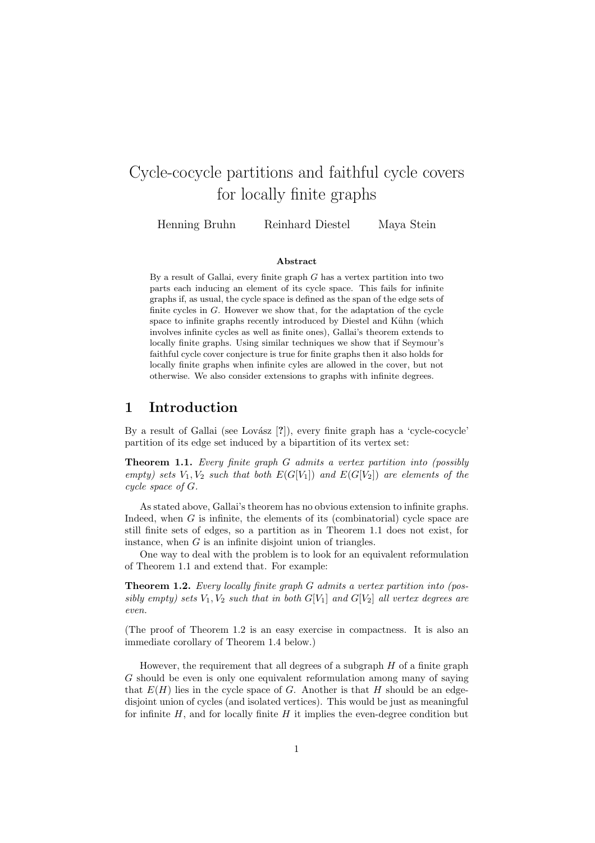# Cycle-cocycle partitions and faithful cycle covers for locally finite graphs

Henning Bruhn Reinhard Diestel Maya Stein

#### Abstract

By a result of Gallai, every finite graph  $G$  has a vertex partition into two parts each inducing an element of its cycle space. This fails for infinite graphs if, as usual, the cycle space is defined as the span of the edge sets of finite cycles in G. However we show that, for the adaptation of the cycle space to infinite graphs recently introduced by Diestel and Kühn (which involves infinite cycles as well as finite ones), Gallai's theorem extends to locally finite graphs. Using similar techniques we show that if Seymour's faithful cycle cover conjecture is true for finite graphs then it also holds for locally finite graphs when infinite cyles are allowed in the cover, but not otherwise. We also consider extensions to graphs with infinite degrees.

### 1 Introduction

By a result of Gallai (see Lovász [?]), every finite graph has a 'cycle-cocycle' partition of its edge set induced by a bipartition of its vertex set:

Theorem 1.1. Every finite graph G admits a vertex partition into (possibly empty) sets  $V_1, V_2$  such that both  $E(G[V_1])$  and  $E(G[V_2])$  are elements of the cycle space of G.

As stated above, Gallai's theorem has no obvious extension to infinite graphs. Indeed, when  $G$  is infinite, the elements of its (combinatorial) cycle space are still finite sets of edges, so a partition as in Theorem 1.1 does not exist, for instance, when  $G$  is an infinite disjoint union of triangles.

One way to deal with the problem is to look for an equivalent reformulation of Theorem 1.1 and extend that. For example:

Theorem 1.2. Every locally finite graph G admits a vertex partition into (possibly empty) sets  $V_1, V_2$  such that in both  $G[V_1]$  and  $G[V_2]$  all vertex degrees are even.

(The proof of Theorem 1.2 is an easy exercise in compactness. It is also an immediate corollary of Theorem 1.4 below.)

However, the requirement that all degrees of a subgraph  $H$  of a finite graph G should be even is only one equivalent reformulation among many of saying that  $E(H)$  lies in the cycle space of G. Another is that H should be an edgedisjoint union of cycles (and isolated vertices). This would be just as meaningful for infinite  $H$ , and for locally finite  $H$  it implies the even-degree condition but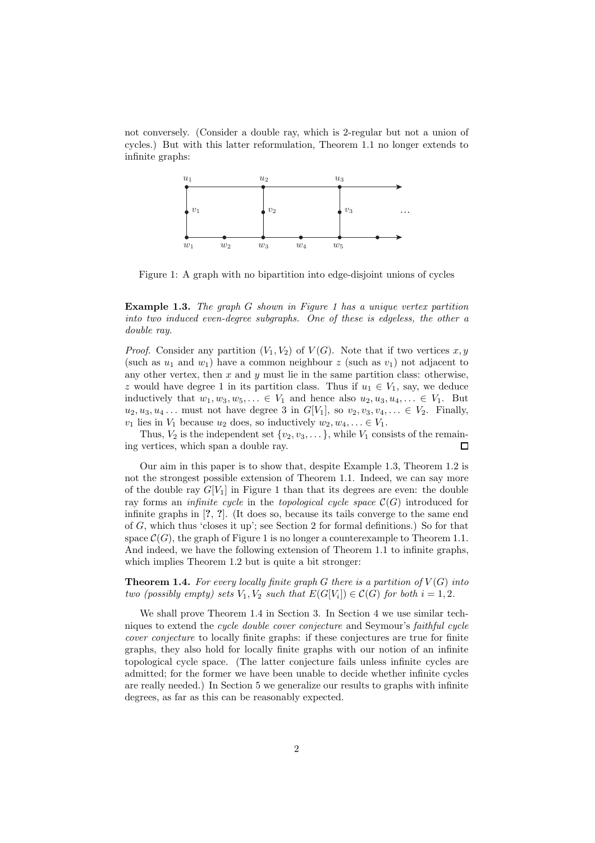not conversely. (Consider a double ray, which is 2-regular but not a union of cycles.) But with this latter reformulation, Theorem 1.1 no longer extends to infinite graphs:



Figure 1: A graph with no bipartition into edge-disjoint unions of cycles

#### **Example 1.3.** The graph G shown in Figure 1 has a unique vertex partition into two induced even-degree subgraphs. One of these is edgeless, the other a double ray.

*Proof.* Consider any partition  $(V_1, V_2)$  of  $V(G)$ . Note that if two vertices x, y (such as  $u_1$  and  $w_1$ ) have a common neighbour z (such as  $v_1$ ) not adjacent to any other vertex, then  $x$  and  $y$  must lie in the same partition class: otherwise, z would have degree 1 in its partition class. Thus if  $u_1 \in V_1$ , say, we deduce inductively that  $w_1, w_3, w_5, \ldots \in V_1$  and hence also  $u_2, u_3, u_4, \ldots \in V_1$ . But  $u_2, u_3, u_4, \ldots$  must not have degree 3 in  $G[V_1]$ , so  $v_2, v_3, v_4, \ldots \in V_2$ . Finally,  $v_1$  lies in  $V_1$  because  $u_2$  does, so inductively  $w_2, w_4, \ldots \in V_1$ .

Thus,  $V_2$  is the independent set  $\{v_2, v_3, \dots\}$ , while  $V_1$  consists of the remaining vertices, which span a double ray.  $\Box$ 

Our aim in this paper is to show that, despite Example 1.3, Theorem 1.2 is not the strongest possible extension of Theorem 1.1. Indeed, we can say more of the double ray  $G[V_1]$  in Figure 1 than that its degrees are even: the double ray forms an *infinite cycle* in the *topological cycle space*  $\mathcal{C}(G)$  introduced for infinite graphs in [?, ?]. (It does so, because its tails converge to the same end of G, which thus 'closes it up'; see Section 2 for formal definitions.) So for that space  $\mathcal{C}(G)$ , the graph of Figure 1 is no longer a counterexample to Theorem 1.1. And indeed, we have the following extension of Theorem 1.1 to infinite graphs, which implies Theorem 1.2 but is quite a bit stronger:

**Theorem 1.4.** For every locally finite graph G there is a partition of  $V(G)$  into two (possibly empty) sets  $V_1, V_2$  such that  $E(G[V_i]) \in C(G)$  for both  $i = 1, 2$ .

We shall prove Theorem 1.4 in Section 3. In Section 4 we use similar techniques to extend the *cycle double cover conjecture* and Seymour's *faithful cycle* cover conjecture to locally finite graphs: if these conjectures are true for finite graphs, they also hold for locally finite graphs with our notion of an infinite topological cycle space. (The latter conjecture fails unless infinite cycles are admitted; for the former we have been unable to decide whether infinite cycles are really needed.) In Section 5 we generalize our results to graphs with infinite degrees, as far as this can be reasonably expected.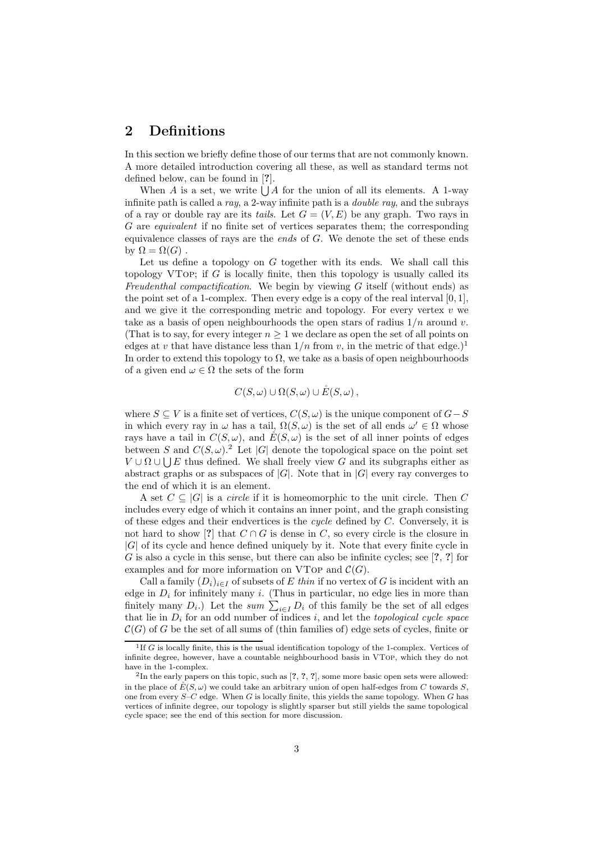# 2 Definitions

In this section we briefly define those of our terms that are not commonly known. A more detailed introduction covering all these, as well as standard terms not defined below, can be found in [?].

When A is a set, we write  $\bigcup A$  for the union of all its elements. A 1-way infinite path is called a ray, a 2-way infinite path is a *double ray*, and the subrays of a ray or double ray are its tails. Let  $G = (V, E)$  be any graph. Two rays in G are equivalent if no finite set of vertices separates them; the corresponding equivalence classes of rays are the *ends* of  $G$ . We denote the set of these ends by  $\Omega = \Omega(G)$ .

Let us define a topology on  $G$  together with its ends. We shall call this topology VTOP; if  $G$  is locally finite, then this topology is usually called its Freudenthal compactification. We begin by viewing  $G$  itself (without ends) as the point set of a 1-complex. Then every edge is a copy of the real interval  $[0, 1]$ , and we give it the corresponding metric and topology. For every vertex  $v$  we take as a basis of open neighbourhoods the open stars of radius  $1/n$  around v. (That is to say, for every integer  $n \geq 1$  we declare as open the set of all points on edges at v that have distance less than  $1/n$  from v, in the metric of that edge.)<sup>1</sup> In order to extend this topology to  $\Omega$ , we take as a basis of open neighbourhoods of a given end  $\omega \in \Omega$  the sets of the form

$$
C(S,\omega) \cup \Omega(S,\omega) \cup \mathring{E}(S,\omega),
$$

where  $S \subseteq V$  is a finite set of vertices,  $C(S, \omega)$  is the unique component of  $G-S$ in which every ray in  $\omega$  has a tail,  $\Omega(S,\omega)$  is the set of all ends  $\omega' \in \Omega$  whose rays have a tail in  $C(S, \omega)$ , and  $E(S, \omega)$  is the set of all inner points of edges between S and  $C(S, \omega)$ .<sup>2</sup> Let |G| denote the topological space on the point set  $V \cup \Omega \cup \bigcup E$  thus defined. We shall freely view G and its subgraphs either as abstract graphs or as subspaces of  $|G|$ . Note that in  $|G|$  every ray converges to the end of which it is an element.

A set  $C \subseteq |G|$  is a *circle* if it is homeomorphic to the unit circle. Then C includes every edge of which it contains an inner point, and the graph consisting of these edges and their endvertices is the *cycle* defined by  $C$ . Conversely, it is not hard to show [?] that  $C \cap G$  is dense in C, so every circle is the closure in  $|G|$  of its cycle and hence defined uniquely by it. Note that every finite cycle in G is also a cycle in this sense, but there can also be infinite cycles; see  $[?, ?]$  for examples and for more information on VTop and  $\mathcal{C}(G)$ .

Call a family  $(D_i)_{i\in I}$  of subsets of E thin if no vertex of G is incident with an edge in  $D_i$  for infinitely many i. (Thus in particular, no edge lies in more than finitely many  $D_i$ .) Let the sum  $\sum_{i\in I} D_i$  of this family be the set of all edges that lie in  $D_i$  for an odd number of indices i, and let the topological cycle space  $\mathcal{C}(G)$  of G be the set of all sums of (thin families of) edge sets of cycles, finite or

 ${}^{1}$ If G is locally finite, this is the usual identification topology of the 1-complex. Vertices of infinite degree, however, have a countable neighbourhood basis in VTop, which they do not have in the 1-complex.

<sup>&</sup>lt;sup>2</sup>In the early papers on this topic, such as  $[?,?,?,']$ , some more basic open sets were allowed: in the place of  $E(S, \omega)$  we could take an arbitrary union of open half-edges from C towards S. one from every  $S-C$  edge. When G is locally finite, this yields the same topology. When G has vertices of infinite degree, our topology is slightly sparser but still yields the same topological cycle space; see the end of this section for more discussion.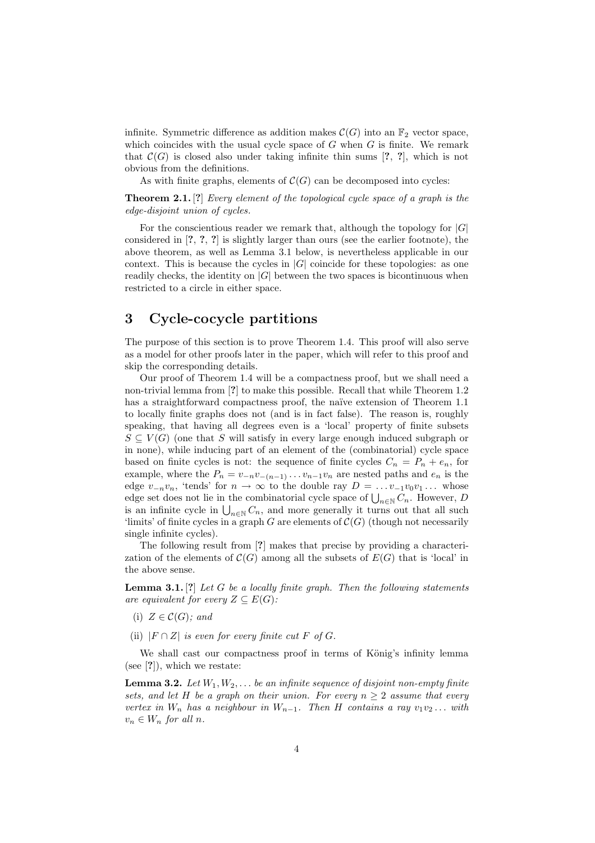infinite. Symmetric difference as addition makes  $\mathcal{C}(G)$  into an  $\mathbb{F}_2$  vector space, which coincides with the usual cycle space of  $G$  when  $G$  is finite. We remark that  $C(G)$  is closed also under taking infinite thin sums [?, ?], which is not obvious from the definitions.

As with finite graphs, elements of  $\mathcal{C}(G)$  can be decomposed into cycles:

**Theorem 2.1.** [?] Every element of the topological cycle space of a graph is the edge-disjoint union of cycles.

For the conscientious reader we remark that, although the topology for  $|G|$ considered in [?, ?, ?] is slightly larger than ours (see the earlier footnote), the above theorem, as well as Lemma 3.1 below, is nevertheless applicable in our context. This is because the cycles in  $|G|$  coincide for these topologies: as one readily checks, the identity on  $|G|$  between the two spaces is bicontinuous when restricted to a circle in either space.

## 3 Cycle-cocycle partitions

The purpose of this section is to prove Theorem 1.4. This proof will also serve as a model for other proofs later in the paper, which will refer to this proof and skip the corresponding details.

Our proof of Theorem 1.4 will be a compactness proof, but we shall need a non-trivial lemma from [?] to make this possible. Recall that while Theorem 1.2 has a straightforward compactness proof, the naïve extension of Theorem 1.1 to locally finite graphs does not (and is in fact false). The reason is, roughly speaking, that having all degrees even is a 'local' property of finite subsets  $S \subseteq V(G)$  (one that S will satisfy in every large enough induced subgraph or in none), while inducing part of an element of the (combinatorial) cycle space based on finite cycles is not: the sequence of finite cycles  $C_n = P_n + e_n$ , for example, where the  $P_n = v_{-n}v_{-(n-1)}\dots v_{n-1}v_n$  are nested paths and  $e_n$  is the edge  $v_{-n}v_n$ , 'tends' for  $n \to \infty$  to the double ray  $D = \ldots v_{-1}v_0v_1\ldots$  whose edge set does not lie in the combinatorial cycle space of  $\bigcup_{n\in\mathbb{N}} C_n$ . However, D is an infinite cycle in  $\bigcup_{n\in\mathbb{N}} C_n$ , and more generally it turns out that all such 'limits' of finite cycles in a graph G are elements of  $\mathcal{C}(G)$  (though not necessarily single infinite cycles).

The following result from [?] makes that precise by providing a characterization of the elements of  $\mathcal{C}(G)$  among all the subsets of  $E(G)$  that is 'local' in the above sense.

**Lemma 3.1.** [?] Let G be a locally finite graph. Then the following statements are equivalent for every  $Z \subseteq E(G)$ :

- (i)  $Z \in \mathcal{C}(G)$ ; and
- (ii)  $|F \cap Z|$  is even for every finite cut F of G.

We shall cast our compactness proof in terms of König's infinity lemma (see [?]), which we restate:

**Lemma 3.2.** Let  $W_1, W_2, \ldots$  be an infinite sequence of disjoint non-empty finite sets, and let H be a graph on their union. For every  $n \geq 2$  assume that every vertex in  $W_n$  has a neighbour in  $W_{n-1}$ . Then H contains a ray  $v_1v_2 \ldots$  with  $v_n \in W_n$  for all n.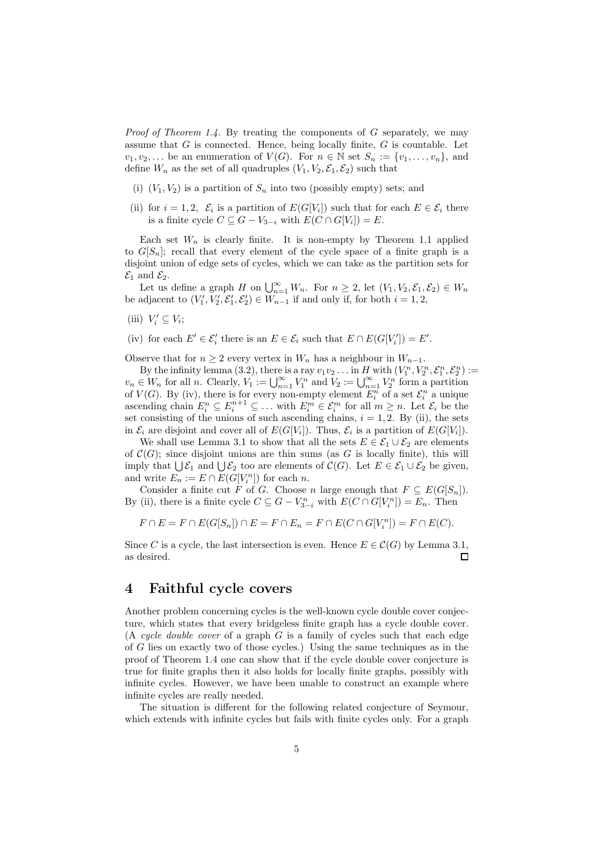*Proof of Theorem 1.4.* By treating the components of  $G$  separately, we may assume that  $G$  is connected. Hence, being locally finite,  $G$  is countable. Let  $v_1, v_2, \ldots$  be an enumeration of  $V(G)$ . For  $n \in \mathbb{N}$  set  $S_n := \{v_1, \ldots, v_n\}$ , and define  $W_n$  as the set of all quadruples  $(V_1, V_2, \mathcal{E}_1, \mathcal{E}_2)$  such that

- (i)  $(V_1, V_2)$  is a partition of  $S_n$  into two (possibly empty) sets; and
- (ii) for  $i = 1, 2, \mathcal{E}_i$  is a partition of  $E(G[V_i])$  such that for each  $E \in \mathcal{E}_i$  there is a finite cycle  $C \subseteq G - V_{3-i}$  with  $E(C \cap G[V_i]) = E$ .

Each set  $W_n$  is clearly finite. It is non-empty by Theorem 1.1 applied to  $G[S_n]$ ; recall that every element of the cycle space of a finite graph is a disjoint union of edge sets of cycles, which we can take as the partition sets for  $\mathcal{E}_1$  and  $\mathcal{E}_2$ .

Let us define a graph H on  $\bigcup_{n=1}^{\infty} W_n$ . For  $n \geq 2$ , let  $(V_1, V_2, \mathcal{E}_1, \mathcal{E}_2) \in W_n$ be adjacent to  $(V'_1, V'_2, \mathcal{E}'_1, \mathcal{E}'_2) \in \mathcal{W}_{n-1}$  if and only if, for both  $i = 1, 2$ ,

- (iii)  $V'_i \subseteq V_i$ ;
- (iv) for each  $E' \in \mathcal{E}'_i$  there is an  $E \in \mathcal{E}_i$  such that  $E \cap E(G[V'_i]) = E'$ .

Observe that for  $n \geq 2$  every vertex in  $W_n$  has a neighbour in  $W_{n-1}$ .

By the infinity lemma (3.2), there is a ray  $v_1v_2 \ldots$  in H with  $(V_1^n, V_2^n, \mathcal{E}_1^n, \mathcal{E}_2^n) :=$  $v_n \in W_n$  for all n. Clearly,  $V_1 := \bigcup_{n=1}^{\infty} V_1^n$  and  $V_2 := \bigcup_{n=1}^{\infty} V_2^n$  form a partition of  $V(G)$ . By (iv), there is for every non-empty element  $E_i^n$  of a set  $\mathcal{E}_i^n$  a unique ascending chain  $E_i^n \subseteq E_i^{n+1} \subseteq \ldots$  with  $E_i^m \in \mathcal{E}_i^m$  for all  $m \geq n$ . Let  $\mathcal{E}_i$  be the set consisting of the unions of such ascending chains,  $i = 1, 2$ . By (ii), the sets in  $\mathcal{E}_i$  are disjoint and cover all of  $E(G[V_i])$ . Thus,  $\mathcal{E}_i$  is a partition of  $E(G[V_i])$ .

We shall use Lemma 3.1 to show that all the sets  $E \in \mathcal{E}_1 \cup \mathcal{E}_2$  are elements of  $\mathcal{C}(G)$ ; since disjoint unions are thin sums (as G is locally finite), this will imply that  $\bigcup \mathcal{E}_1$  and  $\bigcup \mathcal{E}_2$  too are elements of  $\mathcal{C}(G)$ . Let  $E \in \mathcal{E}_1 \cup \mathcal{E}_2$  be given, and write  $E_n := E \cap E(G[V_i^n])$  for each n.

Consider a finite cut F of G. Choose n large enough that  $F \subseteq E(G|S_n|)$ . By (ii), there is a finite cycle  $C \subseteq G - V_{3-i}^n$  with  $E(C \cap G[V_i^n]) = E_n$ . Then

$$
F \cap E = F \cap E(G[S_n]) \cap E = F \cap E_n = F \cap E(C \cap G[V_i^n]) = F \cap E(C).
$$

Since C is a cycle, the last intersection is even. Hence  $E \in \mathcal{C}(G)$  by Lemma 3.1, as desired.  $\Box$ 

### 4 Faithful cycle covers

Another problem concerning cycles is the well-known cycle double cover conjecture, which states that every bridgeless finite graph has a cycle double cover. (A cycle double cover of a graph  $G$  is a family of cycles such that each edge of G lies on exactly two of those cycles.) Using the same techniques as in the proof of Theorem 1.4 one can show that if the cycle double cover conjecture is true for finite graphs then it also holds for locally finite graphs, possibly with infinite cycles. However, we have been unable to construct an example where infinite cycles are really needed.

The situation is different for the following related conjecture of Seymour, which extends with infinite cycles but fails with finite cycles only. For a graph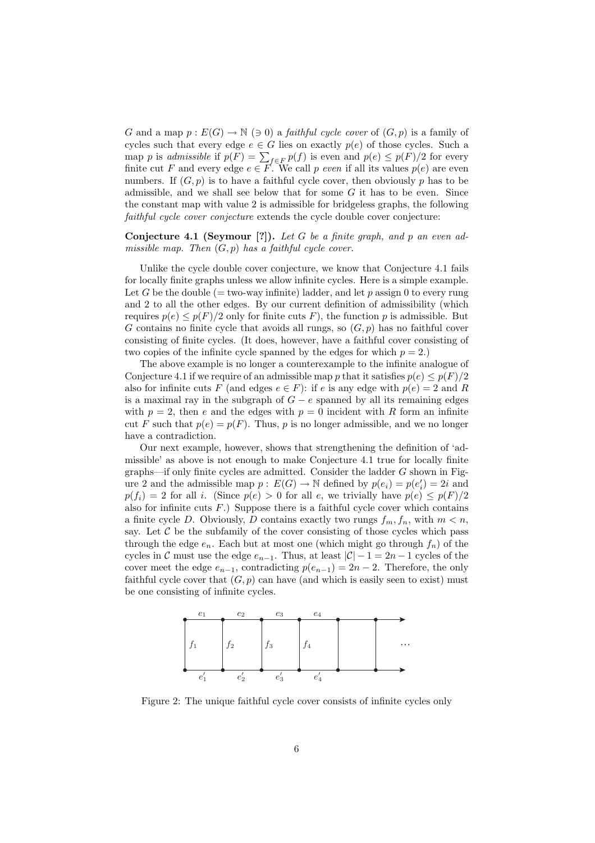G and a map  $p: E(G) \to \mathbb{N}$  ( $\ni$  0) a *faithful cycle cover* of  $(G, p)$  is a family of cycles such that every edge  $e \in G$  lies on exactly  $p(e)$  of those cycles. Such a map p is admissible if  $p(F) = \sum_{f \in F} p(f)$  is even and  $p(e) \leq p(F)/2$  for every finite cut F and every edge  $e \in F$ . We call p even if all its values  $p(e)$  are even numbers. If  $(G, p)$  is to have a faithful cycle cover, then obviously p has to be admissible, and we shall see below that for some  $G$  it has to be even. Since the constant map with value 2 is admissible for bridgeless graphs, the following faithful cycle cover conjecture extends the cycle double cover conjecture:

#### Conjecture 4.1 (Seymour [?]). Let G be a finite graph, and p an even admissible map. Then  $(G, p)$  has a faithful cycle cover.

Unlike the cycle double cover conjecture, we know that Conjecture 4.1 fails for locally finite graphs unless we allow infinite cycles. Here is a simple example. Let G be the double (= two-way infinite) ladder, and let p assign 0 to every rung and 2 to all the other edges. By our current definition of admissibility (which requires  $p(e) \leq p(F)/2$  only for finite cuts F), the function p is admissible. But G contains no finite cycle that avoids all rungs, so  $(G, p)$  has no faithful cover consisting of finite cycles. (It does, however, have a faithful cover consisting of two copies of the infinite cycle spanned by the edges for which  $p = 2$ .)

The above example is no longer a counterexample to the infinite analogue of Conjecture 4.1 if we require of an admissible map p that it satisfies  $p(e) \leq p(F)/2$ also for infinite cuts F (and edges  $e \in F$ ): if e is any edge with  $p(e) = 2$  and R is a maximal ray in the subgraph of  $G - e$  spanned by all its remaining edges with  $p = 2$ , then e and the edges with  $p = 0$  incident with R form an infinite cut F such that  $p(e) = p(F)$ . Thus, p is no longer admissible, and we no longer have a contradiction.

Our next example, however, shows that strengthening the definition of 'admissible' as above is not enough to make Conjecture 4.1 true for locally finite  $graphs$ —if only finite cycles are admitted. Consider the ladder  $G$  shown in Figure 2 and the admissible map  $p: E(G) \to \mathbb{N}$  defined by  $p(e_i) = p(e'_i) = 2i$  and  $p(f_i) = 2$  for all i. (Since  $p(e) > 0$  for all e, we trivially have  $p(e) \leq p(F)/2$ also for infinite cuts  $F$ .) Suppose there is a faithful cycle cover which contains a finite cycle D. Obviously, D contains exactly two rungs  $f_m, f_n$ , with  $m < n$ , say. Let  $C$  be the subfamily of the cover consisting of those cycles which pass through the edge  $e_n$ . Each but at most one (which might go through  $f_n$ ) of the cycles in C must use the edge  $e_{n-1}$ . Thus, at least  $|\mathcal{C}| - 1 = 2n - 1$  cycles of the cover meet the edge  $e_{n-1}$ , contradicting  $p(e_{n-1}) = 2n - 2$ . Therefore, the only faithful cycle cover that  $(G, p)$  can have (and which is easily seen to exist) must be one consisting of infinite cycles.



Figure 2: The unique faithful cycle cover consists of infinite cycles only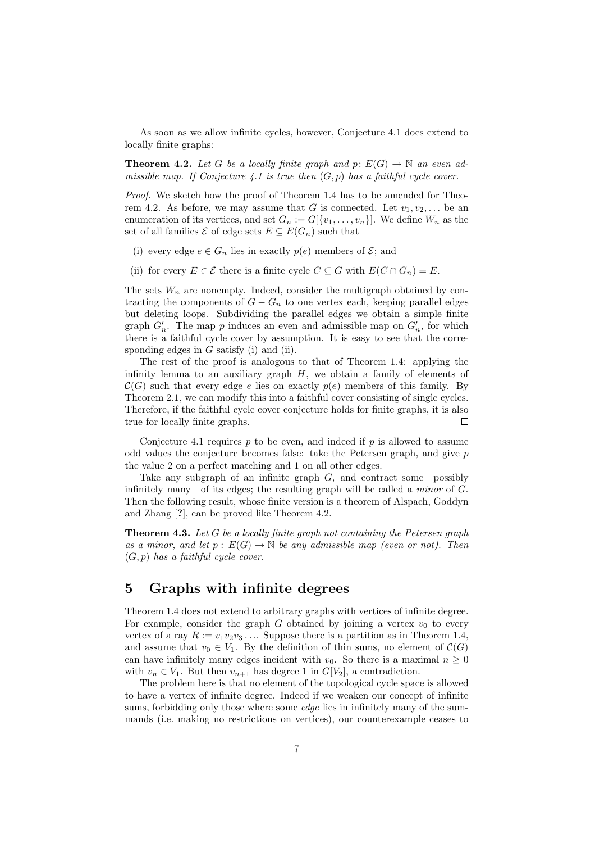As soon as we allow infinite cycles, however, Conjecture 4.1 does extend to locally finite graphs:

**Theorem 4.2.** Let G be a locally finite graph and  $p: E(G) \to \mathbb{N}$  an even admissible map. If Conjecture 4.1 is true then  $(G, p)$  has a faithful cycle cover.

Proof. We sketch how the proof of Theorem 1.4 has to be amended for Theorem 4.2. As before, we may assume that G is connected. Let  $v_1, v_2, \ldots$  be an enumeration of its vertices, and set  $G_n := G[\{v_1, \ldots, v_n\}]$ . We define  $W_n$  as the set of all families  $\mathcal E$  of edge sets  $E \subseteq E(G_n)$  such that

- (i) every edge  $e \in G_n$  lies in exactly  $p(e)$  members of  $\mathcal{E}$ ; and
- (ii) for every  $E \in \mathcal{E}$  there is a finite cycle  $C \subseteq G$  with  $E(C \cap G_n) = E$ .

The sets  $W_n$  are nonempty. Indeed, consider the multigraph obtained by contracting the components of  $G - G_n$  to one vertex each, keeping parallel edges but deleting loops. Subdividing the parallel edges we obtain a simple finite graph  $G'_n$ . The map p induces an even and admissible map on  $G'_n$ , for which there is a faithful cycle cover by assumption. It is easy to see that the corresponding edges in  $G$  satisfy (i) and (ii).

The rest of the proof is analogous to that of Theorem 1.4: applying the infinity lemma to an auxiliary graph  $H$ , we obtain a family of elements of  $\mathcal{C}(G)$  such that every edge e lies on exactly  $p(e)$  members of this family. By Theorem 2.1, we can modify this into a faithful cover consisting of single cycles. Therefore, if the faithful cycle cover conjecture holds for finite graphs, it is also true for locally finite graphs.  $\Box$ 

Conjecture 4.1 requires  $p$  to be even, and indeed if  $p$  is allowed to assume odd values the conjecture becomes false: take the Petersen graph, and give p the value 2 on a perfect matching and 1 on all other edges.

Take any subgraph of an infinite graph  $G$ , and contract some—possibly infinitely many—of its edges; the resulting graph will be called a minor of G. Then the following result, whose finite version is a theorem of Alspach, Goddyn and Zhang [?], can be proved like Theorem 4.2.

**Theorem 4.3.** Let  $G$  be a locally finite graph not containing the Petersen graph as a minor, and let  $p : E(G) \to \mathbb{N}$  be any admissible map (even or not). Then  $(G, p)$  has a faithful cycle cover.

### 5 Graphs with infinite degrees

Theorem 1.4 does not extend to arbitrary graphs with vertices of infinite degree. For example, consider the graph G obtained by joining a vertex  $v_0$  to every vertex of a ray  $R := v_1v_2v_3 \ldots$  Suppose there is a partition as in Theorem 1.4, and assume that  $v_0 \in V_1$ . By the definition of thin sums, no element of  $\mathcal{C}(G)$ can have infinitely many edges incident with  $v_0$ . So there is a maximal  $n \geq 0$ with  $v_n \in V_1$ . But then  $v_{n+1}$  has degree 1 in  $G[V_2]$ , a contradiction.

The problem here is that no element of the topological cycle space is allowed to have a vertex of infinite degree. Indeed if we weaken our concept of infinite sums, forbidding only those where some *edge* lies in infinitely many of the summands (i.e. making no restrictions on vertices), our counterexample ceases to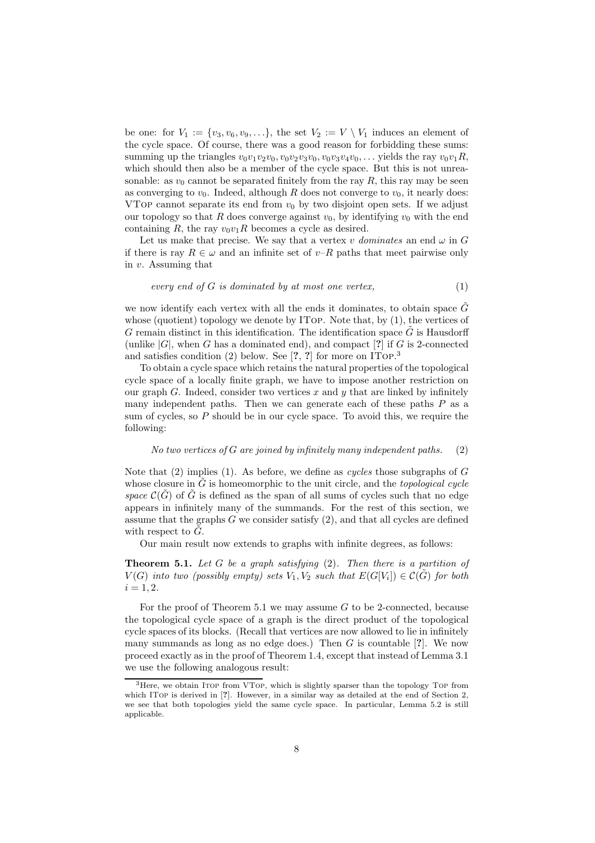be one: for  $V_1 := \{v_3, v_6, v_9, \ldots\}$ , the set  $V_2 := V \setminus V_1$  induces an element of the cycle space. Of course, there was a good reason for forbidding these sums: summing up the triangles  $v_0v_1v_2v_0$ ,  $v_0v_2v_3v_0$ ,  $v_0v_3v_4v_0$ , ... yields the ray  $v_0v_1R$ , which should then also be a member of the cycle space. But this is not unreasonable: as  $v_0$  cannot be separated finitely from the ray R, this ray may be seen as converging to  $v_0$ . Indeed, although R does not converge to  $v_0$ , it nearly does: VTOP cannot separate its end from  $v_0$  by two disjoint open sets. If we adjust our topology so that R does converge against  $v_0$ , by identifying  $v_0$  with the end containing R, the ray  $v_0v_1R$  becomes a cycle as desired.

Let us make that precise. We say that a vertex v dominates an end  $\omega$  in G if there is ray  $R \in \omega$  and an infinite set of v–R paths that meet pairwise only in v. Assuming that

$$
every\ end\ of\ G\ is\ dominated\ by\ at\ most\ one\ vertex,
$$
\n
$$
(1)
$$

we now identify each vertex with all the ends it dominates, to obtain space  $\tilde{G}$ whose (quotient) topology we denote by ITop. Note that, by  $(1)$ , the vertices of  $G$  remain distinct in this identification. The identification space  $G$  is Hausdorff (unlike  $|G|$ , when G has a dominated end), and compact  $[?]$  if G is 2-connected and satisfies condition (2) below. See [?, ?] for more on ITop. 3

To obtain a cycle space which retains the natural properties of the topological cycle space of a locally finite graph, we have to impose another restriction on our graph G. Indeed, consider two vertices x and y that are linked by infinitely many independent paths. Then we can generate each of these paths  $P$  as a sum of cycles, so P should be in our cycle space. To avoid this, we require the following:

#### No two vertices of G are joined by infinitely many independent paths.  $(2)$

Note that (2) implies (1). As before, we define as *cycles* those subgraphs of  $G$ whose closure in  $\tilde{G}$  is homeomorphic to the unit circle, and the topological cycle space  $\mathcal{C}(G)$  of G is defined as the span of all sums of cycles such that no edge appears in infinitely many of the summands. For the rest of this section, we assume that the graphs  $G$  we consider satisfy  $(2)$ , and that all cycles are defined with respect to  $\tilde{G}$ .

Our main result now extends to graphs with infinite degrees, as follows:

**Theorem 5.1.** Let  $G$  be a graph satisfying  $(2)$ . Then there is a partition of  $V(G)$  into two (possibly empty) sets  $V_1, V_2$  such that  $E(G[V_i]) \in \mathcal{C}(\tilde{G})$  for both  $i = 1, 2.$ 

For the proof of Theorem 5.1 we may assume  $G$  to be 2-connected, because the topological cycle space of a graph is the direct product of the topological cycle spaces of its blocks. (Recall that vertices are now allowed to lie in infinitely many summands as long as no edge does.) Then  $G$  is countable [?]. We now proceed exactly as in the proof of Theorem 1.4, except that instead of Lemma 3.1 we use the following analogous result:

 $3$ Here, we obtain Itop from VTop, which is slightly sparser than the topology Top from which ITop is derived in [?]. However, in a similar way as detailed at the end of Section 2, we see that both topologies yield the same cycle space. In particular, Lemma 5.2 is still applicable.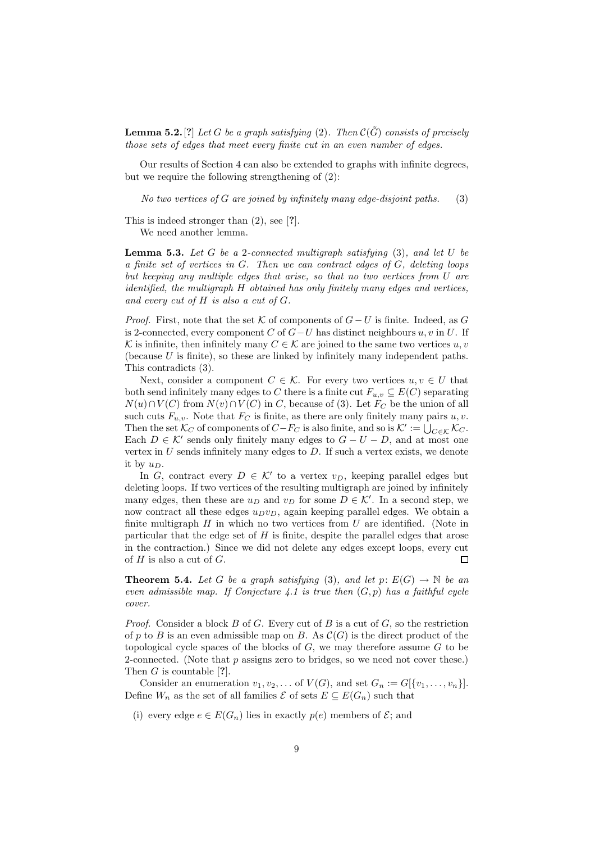**Lemma 5.2.** [?] Let G be a graph satisfying (2). Then  $\mathcal{C}(\tilde{G})$  consists of precisely those sets of edges that meet every finite cut in an even number of edges.

Our results of Section 4 can also be extended to graphs with infinite degrees, but we require the following strengthening of (2):

No two vertices of G are joined by infinitely many edge-disjoint paths.  $(3)$ 

This is indeed stronger than (2), see [?].

We need another lemma.

**Lemma 5.3.** Let G be a 2-connected multigraph satisfying  $(3)$ , and let U be a finite set of vertices in G. Then we can contract edges of G, deleting loops but keeping any multiple edges that arise, so that no two vertices from U are identified, the multigraph H obtained has only finitely many edges and vertices, and every cut of  $H$  is also a cut of  $G$ .

*Proof.* First, note that the set K of components of  $G-U$  is finite. Indeed, as G is 2-connected, every component C of  $G-U$  has distinct neighbours u, v in U. If K is infinite, then infinitely many  $C \in \mathcal{K}$  are joined to the same two vertices  $u, v$ (because  $U$  is finite), so these are linked by infinitely many independent paths. This contradicts (3).

Next, consider a component  $C \in \mathcal{K}$ . For every two vertices  $u, v \in U$  that both send infinitely many edges to C there is a finite cut  $F_{u,v} \subseteq E(C)$  separating  $N(u) \cap V(C)$  from  $N(v) \cap V(C)$  in C, because of (3). Let  $F_C$  be the union of all such cuts  $F_{u,v}$ . Note that  $F_C$  is finite, as there are only finitely many pairs u, v. Then the set  $\mathcal{K}_C$  of components of  $C-F_C$  is also finite, and so is  $\mathcal{K}':=\overline{\bigcup_{C\in\mathcal{K}}\mathcal{K}_C}.$ Each  $D \in \mathcal{K}'$  sends only finitely many edges to  $G - U - D$ , and at most one vertex in  $U$  sends infinitely many edges to  $D$ . If such a vertex exists, we denote it by  $u_D$ .

In G, contract every  $D \in \mathcal{K}'$  to a vertex  $v_D$ , keeping parallel edges but deleting loops. If two vertices of the resulting multigraph are joined by infinitely many edges, then these are  $u_D$  and  $v_D$  for some  $D \in \mathcal{K}'$ . In a second step, we now contract all these edges  $u_Dv_D$ , again keeping parallel edges. We obtain a finite multigraph  $H$  in which no two vertices from  $U$  are identified. (Note in particular that the edge set of  $H$  is finite, despite the parallel edges that arose in the contraction.) Since we did not delete any edges except loops, every cut of  $H$  is also a cut of  $G$ .  $\Box$ 

**Theorem 5.4.** Let G be a graph satisfying (3), and let  $p: E(G) \to \mathbb{N}$  be an even admissible map. If Conjecture 4.1 is true then  $(G, p)$  has a faithful cycle cover.

*Proof.* Consider a block B of G. Every cut of B is a cut of G, so the restriction of p to B is an even admissible map on B. As  $\mathcal{C}(G)$  is the direct product of the topological cycle spaces of the blocks of  $G$ , we may therefore assume  $G$  to be 2-connected. (Note that  $p$  assigns zero to bridges, so we need not cover these.) Then  $G$  is countable [?].

Consider an enumeration  $v_1, v_2, \ldots$  of  $V(G)$ , and set  $G_n := G[\{v_1, \ldots, v_n\}].$ Define  $W_n$  as the set of all families  $\mathcal E$  of sets  $E \subseteq E(G_n)$  such that

(i) every edge  $e \in E(G_n)$  lies in exactly  $p(e)$  members of  $\mathcal{E}$ ; and